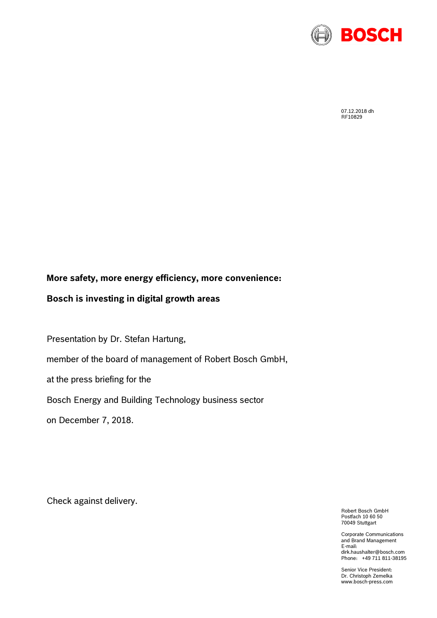

07.12.2018 dh RF10829

## **More safety, more energy efficiency, more convenience:**

## **Bosch is investing in digital growth areas**

Presentation by Dr. Stefan Hartung,

member of the board of management of Robert Bosch GmbH,

at the press briefing for the

### Bosch Energy and Building Technology business sector

on December 7, 2018.

Check against delivery.

Robert Bosch GmbH Postfach 10 60 50 70049 Stuttgart

Corporate Communications and Brand Management E-mail: dirk.haushalter@bosch.com Phone: +49 711 811-38195

Senior Vice President: Dr. Christoph Zemelka www.bosch-press.com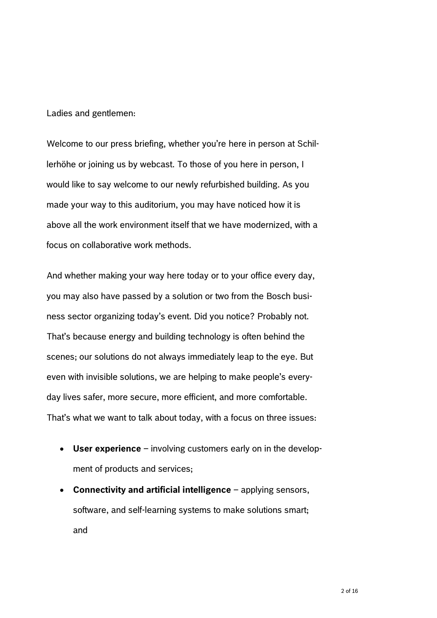Ladies and gentlemen:

Welcome to our press briefing, whether you're here in person at Schillerhöhe or joining us by webcast. To those of you here in person, I would like to say welcome to our newly refurbished building. As you made your way to this auditorium, you may have noticed how it is above all the work environment itself that we have modernized, with a focus on collaborative work methods.

And whether making your way here today or to your office every day, you may also have passed by a solution or two from the Bosch business sector organizing today's event. Did you notice? Probably not. That's because energy and building technology is often behind the scenes; our solutions do not always immediately leap to the eye. But even with invisible solutions, we are helping to make people's everyday lives safer, more secure, more efficient, and more comfortable. That's what we want to talk about today, with a focus on three issues:

- **User experience** involving customers early on in the development of products and services;
- **Connectivity and artificial intelligence** applying sensors, software, and self-learning systems to make solutions smart; and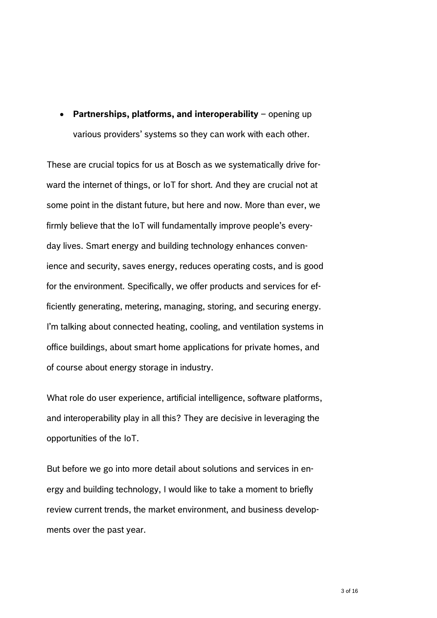**Partnerships, platforms, and interoperability** – opening up various providers' systems so they can work with each other.

These are crucial topics for us at Bosch as we systematically drive forward the internet of things, or IoT for short. And they are crucial not at some point in the distant future, but here and now. More than ever, we firmly believe that the IoT will fundamentally improve people's everyday lives. Smart energy and building technology enhances convenience and security, saves energy, reduces operating costs, and is good for the environment. Specifically, we offer products and services for efficiently generating, metering, managing, storing, and securing energy. I'm talking about connected heating, cooling, and ventilation systems in office buildings, about smart home applications for private homes, and of course about energy storage in industry.

What role do user experience, artificial intelligence, software platforms, and interoperability play in all this? They are decisive in leveraging the opportunities of the IoT.

But before we go into more detail about solutions and services in energy and building technology, I would like to take a moment to briefly review current trends, the market environment, and business developments over the past year.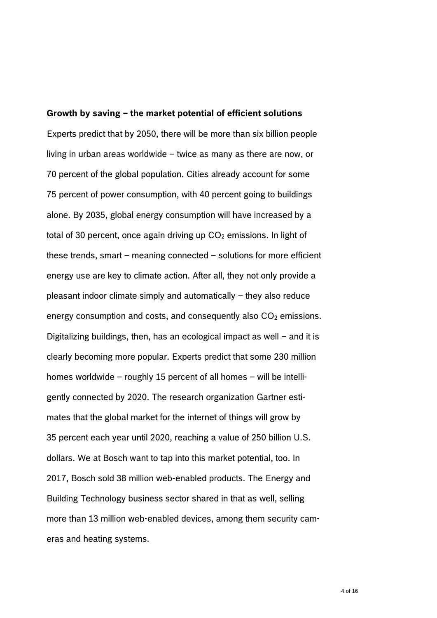**Growth by saving – the market potential of efficient solutions**  Experts predict that by 2050, there will be more than six billion people living in urban areas worldwide – twice as many as there are now, or 70 percent of the global population. Cities already account for some 75 percent of power consumption, with 40 percent going to buildings alone. By 2035, global energy consumption will have increased by a total of 30 percent, once again driving up  $CO<sub>2</sub>$  emissions. In light of these trends, smart – meaning connected – solutions for more efficient energy use are key to climate action. After all, they not only provide a pleasant indoor climate simply and automatically – they also reduce energy consumption and costs, and consequently also  $CO<sub>2</sub>$  emissions. Digitalizing buildings, then, has an ecological impact as well – and it is clearly becoming more popular. Experts predict that some 230 million homes worldwide – roughly 15 percent of all homes – will be intelligently connected by 2020. The research organization Gartner estimates that the global market for the internet of things will grow by 35 percent each year until 2020, reaching a value of 250 billion U.S. dollars. We at Bosch want to tap into this market potential, too. In 2017, Bosch sold 38 million web-enabled products. The Energy and Building Technology business sector shared in that as well, selling more than 13 million web-enabled devices, among them security cameras and heating systems.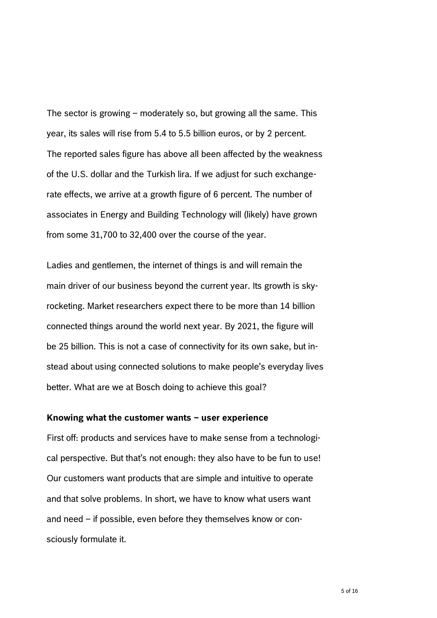The sector is growing – moderately so, but growing all the same. This year, its sales will rise from 5.4 to 5.5 billion euros, or by 2 percent. The reported sales figure has above all been affected by the weakness of the U.S. dollar and the Turkish lira. If we adjust for such exchangerate effects, we arrive at a growth figure of 6 percent. The number of associates in Energy and Building Technology will (likely) have grown from some 31,700 to 32,400 over the course of the year.

Ladies and gentlemen, the internet of things is and will remain the main driver of our business beyond the current year. Its growth is skyrocketing. Market researchers expect there to be more than 14 billion connected things around the world next year. By 2021, the figure will be 25 billion. This is not a case of connectivity for its own sake, but instead about using connected solutions to make people's everyday lives better. What are we at Bosch doing to achieve this goal?

#### **Knowing what the customer wants – user experience**

First off: products and services have to make sense from a technological perspective. But that's not enough: they also have to be fun to use! Our customers want products that are simple and intuitive to operate and that solve problems. In short, we have to know what users want and need – if possible, even before they themselves know or consciously formulate it.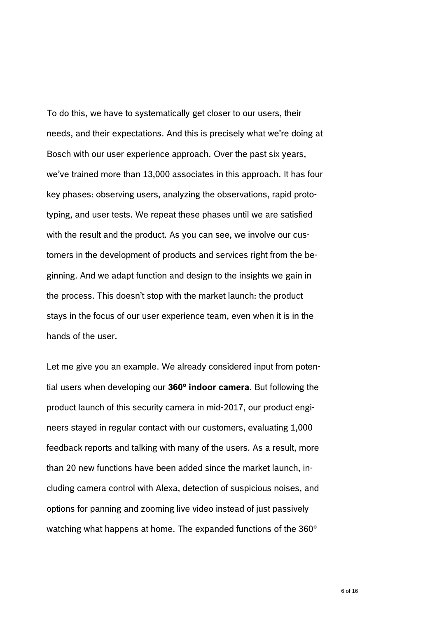To do this, we have to systematically get closer to our users, their needs, and their expectations. And this is precisely what we're doing at Bosch with our user experience approach. Over the past six years, we've trained more than 13,000 associates in this approach. It has four key phases: observing users, analyzing the observations, rapid prototyping, and user tests. We repeat these phases until we are satisfied with the result and the product. As you can see, we involve our customers in the development of products and services right from the beginning. And we adapt function and design to the insights we gain in the process. This doesn't stop with the market launch: the product stays in the focus of our user experience team, even when it is in the hands of the user.

Let me give you an example. We already considered input from potential users when developing our **360° indoor camera**. But following the product launch of this security camera in mid-2017, our product engineers stayed in regular contact with our customers, evaluating 1,000 feedback reports and talking with many of the users. As a result, more than 20 new functions have been added since the market launch, including camera control with Alexa, detection of suspicious noises, and options for panning and zooming live video instead of just passively watching what happens at home. The expanded functions of the 360°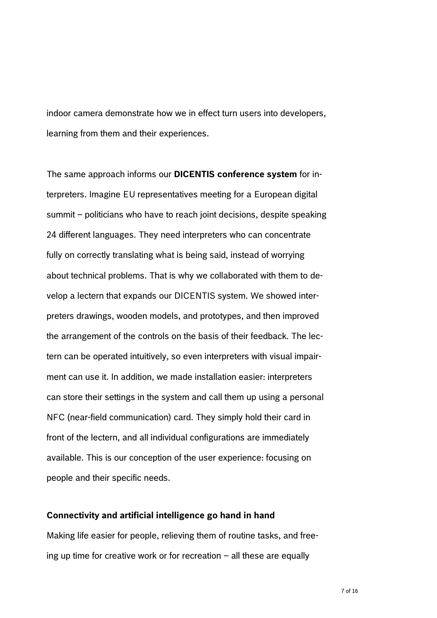indoor camera demonstrate how we in effect turn users into developers, learning from them and their experiences.

The same approach informs our **DICENTIS conference system** for interpreters. Imagine EU representatives meeting for a European digital summit – politicians who have to reach joint decisions, despite speaking 24 different languages. They need interpreters who can concentrate fully on correctly translating what is being said, instead of worrying about technical problems. That is why we collaborated with them to develop a lectern that expands our DICENTIS system. We showed interpreters drawings, wooden models, and prototypes, and then improved the arrangement of the controls on the basis of their feedback. The lectern can be operated intuitively, so even interpreters with visual impairment can use it. In addition, we made installation easier: interpreters can store their settings in the system and call them up using a personal NFC (near-field communication) card. They simply hold their card in front of the lectern, and all individual configurations are immediately available. This is our conception of the user experience: focusing on people and their specific needs.

#### **Connectivity and artificial intelligence go hand in hand**

Making life easier for people, relieving them of routine tasks, and freeing up time for creative work or for recreation – all these are equally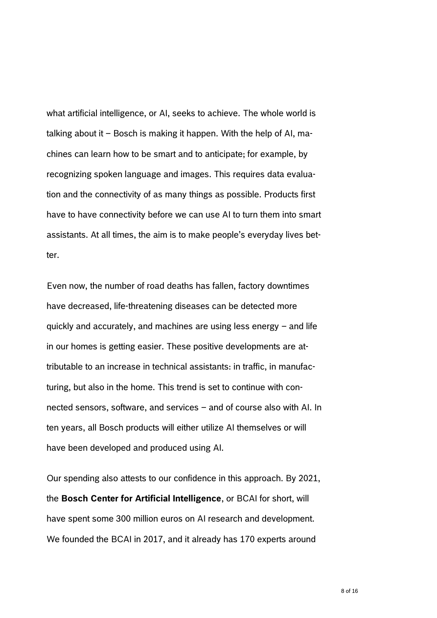what artificial intelligence, or AI, seeks to achieve. The whole world is talking about it – Bosch is making it happen. With the help of AI, machines can learn how to be smart and to anticipate; for example, by recognizing spoken language and images. This requires data evaluation and the connectivity of as many things as possible. Products first have to have connectivity before we can use AI to turn them into smart assistants. At all times, the aim is to make people's everyday lives better.

Even now, the number of road deaths has fallen, factory downtimes have decreased, life-threatening diseases can be detected more quickly and accurately, and machines are using less energy – and life in our homes is getting easier. These positive developments are attributable to an increase in technical assistants: in traffic, in manufacturing, but also in the home. This trend is set to continue with connected sensors, software, and services – and of course also with AI. In ten years, all Bosch products will either utilize AI themselves or will have been developed and produced using AI.

Our spending also attests to our confidence in this approach. By 2021, the **Bosch Center for Artificial Intelligence**, or BCAI for short, will have spent some 300 million euros on AI research and development. We founded the BCAI in 2017, and it already has 170 experts around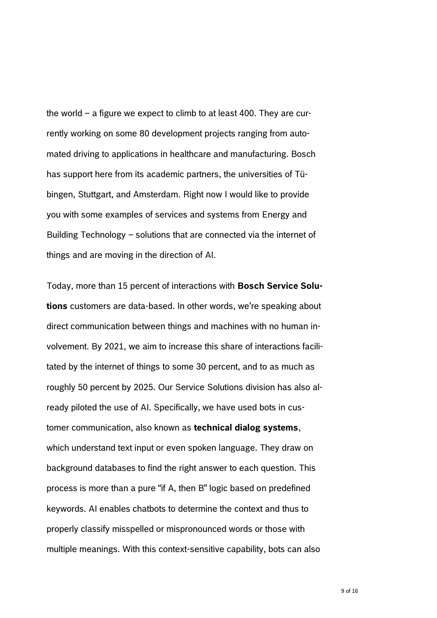the world – a figure we expect to climb to at least 400. They are currently working on some 80 development projects ranging from automated driving to applications in healthcare and manufacturing. Bosch has support here from its academic partners, the universities of Tübingen, Stuttgart, and Amsterdam. Right now I would like to provide you with some examples of services and systems from Energy and Building Technology – solutions that are connected via the internet of things and are moving in the direction of AI.

Today, more than 15 percent of interactions with **Bosch Service Solutions** customers are data-based. In other words, we're speaking about direct communication between things and machines with no human involvement. By 2021, we aim to increase this share of interactions facilitated by the internet of things to some 30 percent, and to as much as roughly 50 percent by 2025. Our Service Solutions division has also already piloted the use of AI. Specifically, we have used bots in customer communication, also known as **technical dialog systems**, which understand text input or even spoken language. They draw on background databases to find the right answer to each question. This process is more than a pure "if A, then B" logic based on predefined keywords. AI enables chatbots to determine the context and thus to properly classify misspelled or mispronounced words or those with multiple meanings. With this context-sensitive capability, bots can also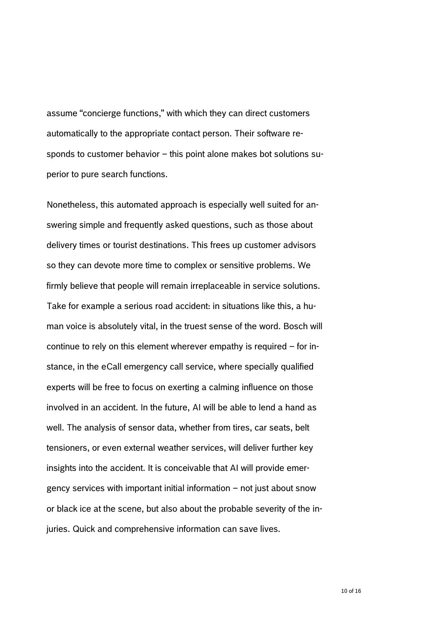assume "concierge functions," with which they can direct customers automatically to the appropriate contact person. Their software responds to customer behavior – this point alone makes bot solutions superior to pure search functions.

Nonetheless, this automated approach is especially well suited for answering simple and frequently asked questions, such as those about delivery times or tourist destinations. This frees up customer advisors so they can devote more time to complex or sensitive problems. We firmly believe that people will remain irreplaceable in service solutions. Take for example a serious road accident: in situations like this, a human voice is absolutely vital, in the truest sense of the word. Bosch will continue to rely on this element wherever empathy is required – for instance, in the eCall emergency call service, where specially qualified experts will be free to focus on exerting a calming influence on those involved in an accident. In the future, AI will be able to lend a hand as well. The analysis of sensor data, whether from tires, car seats, belt tensioners, or even external weather services, will deliver further key insights into the accident. It is conceivable that AI will provide emergency services with important initial information – not just about snow or black ice at the scene, but also about the probable severity of the injuries. Quick and comprehensive information can save lives.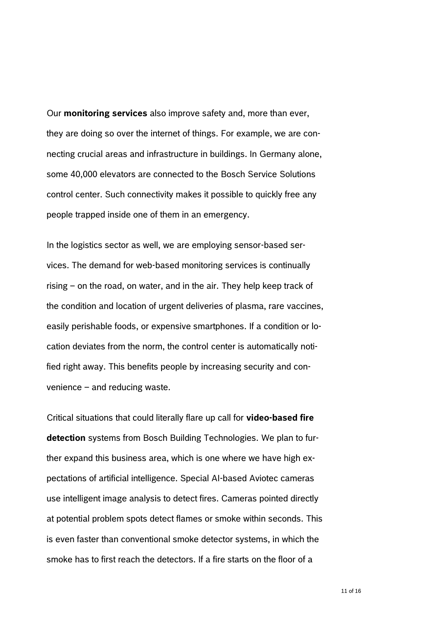Our **monitoring services** also improve safety and, more than ever, they are doing so over the internet of things. For example, we are connecting crucial areas and infrastructure in buildings. In Germany alone, some 40,000 elevators are connected to the Bosch Service Solutions control center. Such connectivity makes it possible to quickly free any people trapped inside one of them in an emergency.

In the logistics sector as well, we are employing sensor-based services. The demand for web-based monitoring services is continually rising – on the road, on water, and in the air. They help keep track of the condition and location of urgent deliveries of plasma, rare vaccines, easily perishable foods, or expensive smartphones. If a condition or location deviates from the norm, the control center is automatically notified right away. This benefits people by increasing security and convenience – and reducing waste.

Critical situations that could literally flare up call for **video-based fire detection** systems from Bosch Building Technologies. We plan to further expand this business area, which is one where we have high expectations of artificial intelligence. Special AI-based Aviotec cameras use intelligent image analysis to detect fires. Cameras pointed directly at potential problem spots detect flames or smoke within seconds. This is even faster than conventional smoke detector systems, in which the smoke has to first reach the detectors. If a fire starts on the floor of a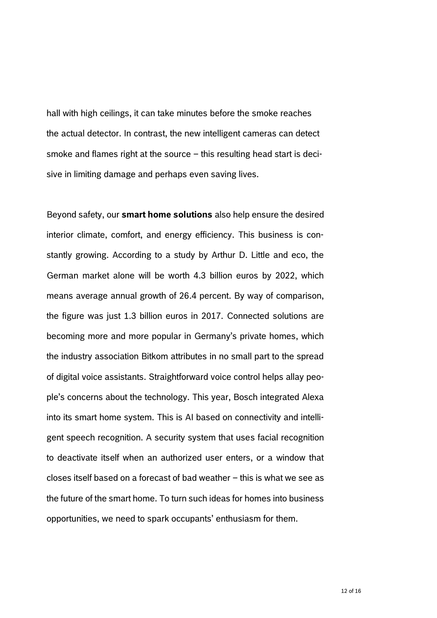hall with high ceilings, it can take minutes before the smoke reaches the actual detector. In contrast, the new intelligent cameras can detect smoke and flames right at the source – this resulting head start is decisive in limiting damage and perhaps even saving lives.

Beyond safety, our **smart home solutions** also help ensure the desired interior climate, comfort, and energy efficiency. This business is constantly growing. According to a study by Arthur D. Little and eco, the German market alone will be worth 4.3 billion euros by 2022, which means average annual growth of 26.4 percent. By way of comparison, the figure was just 1.3 billion euros in 2017. Connected solutions are becoming more and more popular in Germany's private homes, which the industry association Bitkom attributes in no small part to the spread of digital voice assistants. Straightforward voice control helps allay people's concerns about the technology. This year, Bosch integrated Alexa into its smart home system. This is AI based on connectivity and intelligent speech recognition. A security system that uses facial recognition to deactivate itself when an authorized user enters, or a window that closes itself based on a forecast of bad weather – this is what we see as the future of the smart home. To turn such ideas for homes into business opportunities, we need to spark occupants' enthusiasm for them.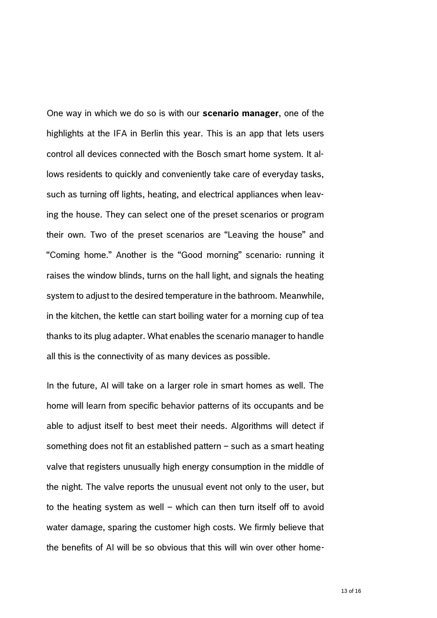One way in which we do so is with our **scenario manager**, one of the highlights at the IFA in Berlin this year. This is an app that lets users control all devices connected with the Bosch smart home system. It allows residents to quickly and conveniently take care of everyday tasks, such as turning off lights, heating, and electrical appliances when leaving the house. They can select one of the preset scenarios or program their own. Two of the preset scenarios are "Leaving the house" and "Coming home." Another is the "Good morning" scenario: running it raises the window blinds, turns on the hall light, and signals the heating system to adjust to the desired temperature in the bathroom. Meanwhile, in the kitchen, the kettle can start boiling water for a morning cup of tea thanks to its plug adapter. What enables the scenario manager to handle all this is the connectivity of as many devices as possible.

In the future, AI will take on a larger role in smart homes as well. The home will learn from specific behavior patterns of its occupants and be able to adjust itself to best meet their needs. Algorithms will detect if something does not fit an established pattern – such as a smart heating valve that registers unusually high energy consumption in the middle of the night. The valve reports the unusual event not only to the user, but to the heating system as well – which can then turn itself off to avoid water damage, sparing the customer high costs. We firmly believe that the benefits of AI will be so obvious that this will win over other home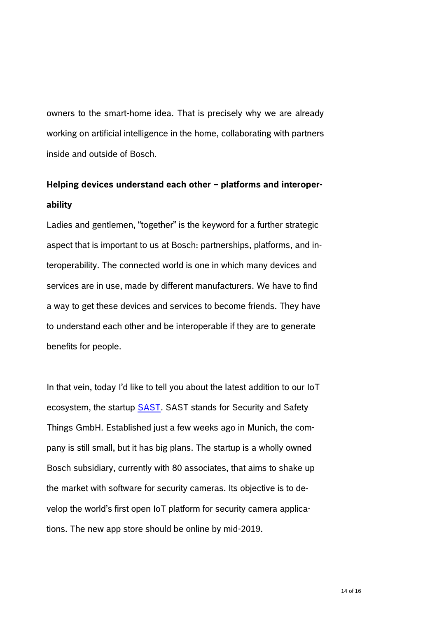owners to the smart-home idea. That is precisely why we are already working on artificial intelligence in the home, collaborating with partners inside and outside of Bosch.

# **Helping devices understand each other – platforms and interoperability**

Ladies and gentlemen, "together" is the keyword for a further strategic aspect that is important to us at Bosch: partnerships, platforms, and interoperability. The connected world is one in which many devices and services are in use, made by different manufacturers. We have to find a way to get these devices and services to become friends. They have to understand each other and be interoperable if they are to generate benefits for people.

In that vein, today I'd like to tell you about the latest addition to our IoT ecosystem, the startup **SAST**. SAST stands for Security and Safety Things GmbH. Established just a few weeks ago in Munich, the company is still small, but it has big plans. The startup is a wholly owned Bosch subsidiary, currently with 80 associates, that aims to shake up the market with software for security cameras. Its objective is to develop the world's first open IoT platform for security camera applications. The new app store should be online by mid-2019.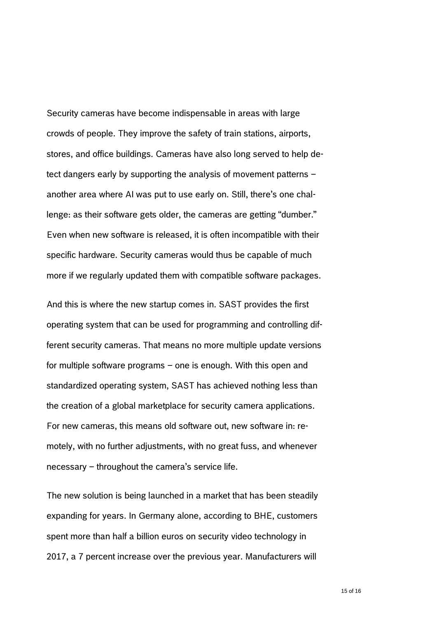Security cameras have become indispensable in areas with large crowds of people. They improve the safety of train stations, airports, stores, and office buildings. Cameras have also long served to help detect dangers early by supporting the analysis of movement patterns – another area where AI was put to use early on. Still, there's one challenge: as their software gets older, the cameras are getting "dumber." Even when new software is released, it is often incompatible with their specific hardware. Security cameras would thus be capable of much more if we regularly updated them with compatible software packages.

And this is where the new startup comes in. SAST provides the first operating system that can be used for programming and controlling different security cameras. That means no more multiple update versions for multiple software programs – one is enough. With this open and standardized operating system, SAST has achieved nothing less than the creation of a global marketplace for security camera applications. For new cameras, this means old software out, new software in: remotely, with no further adjustments, with no great fuss, and whenever necessary – throughout the camera's service life.

The new solution is being launched in a market that has been steadily expanding for years. In Germany alone, according to BHE, customers spent more than half a billion euros on security video technology in 2017, a 7 percent increase over the previous year. Manufacturers will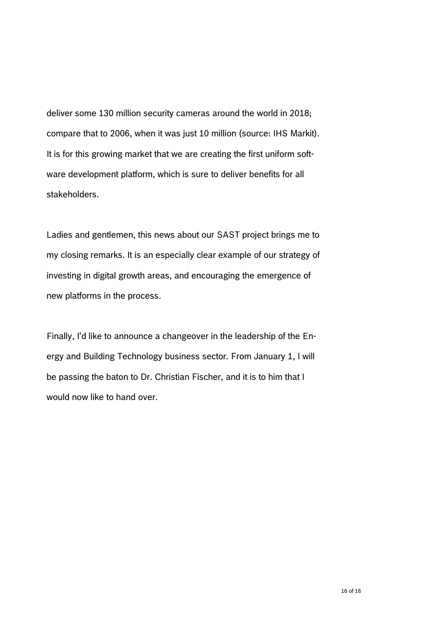deliver some 130 million security cameras around the world in 2018; compare that to 2006, when it was just 10 million (source: IHS Markit). It is for this growing market that we are creating the first uniform software development platform, which is sure to deliver benefits for all stakeholders.

Ladies and gentlemen, this news about our SAST project brings me to my closing remarks. It is an especially clear example of our strategy of investing in digital growth areas, and encouraging the emergence of new platforms in the process.

Finally, I'd like to announce a changeover in the leadership of the Energy and Building Technology business sector. From January 1, I will be passing the baton to Dr. Christian Fischer, and it is to him that I would now like to hand over.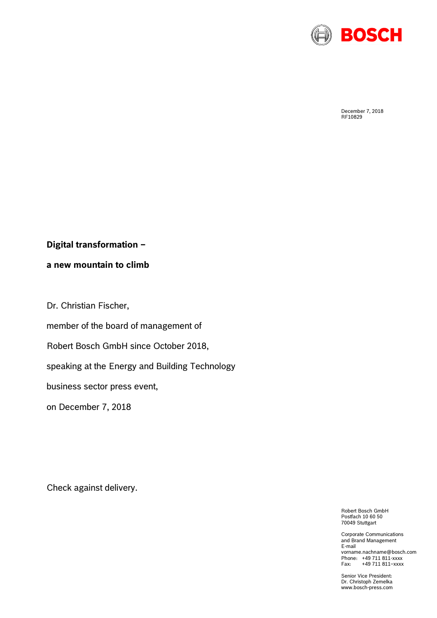

December 7, 2018 RF10829

## **Digital transformation –**

**a new mountain to climb**

Dr. Christian Fischer,

member of the board of management of

Robert Bosch GmbH since October 2018,

speaking at the Energy and Building Technology

business sector press event,

on December 7, 2018

Check against delivery.

Robert Bosch GmbH Postfach 10 60 50 70049 Stuttgart

Corporate Communications and Brand Management E-mail vorname.nachname@bosch.com Phone: +49 711 811-xxxx<br>Fax: +49 711 811-xxxx +49 711 811-xxxx

Senior Vice President: Dr. Christoph Zemelka www.bosch-press.com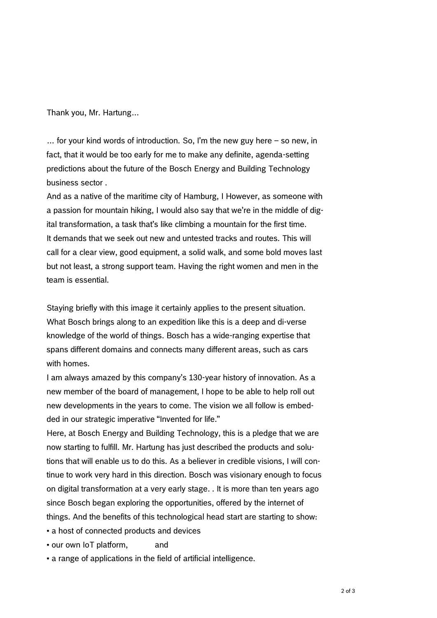Thank you, Mr. Hartung…

… for your kind words of introduction. So, I'm the new guy here – so new, in fact, that it would be too early for me to make any definite, agenda-setting predictions about the future of the Bosch Energy and Building Technology business sector .

And as a native of the maritime city of Hamburg, I However, as someone with a passion for mountain hiking, I would also say that we're in the middle of digital transformation, a task that's like climbing a mountain for the first time. It demands that we seek out new and untested tracks and routes. This will call for a clear view, good equipment, a solid walk, and some bold moves last but not least, a strong support team. Having the right women and men in the team is essential.

Staying briefly with this image it certainly applies to the present situation. What Bosch brings along to an expedition like this is a deep and di-verse knowledge of the world of things. Bosch has a wide-ranging expertise that spans different domains and connects many different areas, such as cars with homes.

I am always amazed by this company's 130-year history of innovation. As a new member of the board of management, I hope to be able to help roll out new developments in the years to come. The vision we all follow is embedded in our strategic imperative "Invented for life."

Here, at Bosch Energy and Building Technology, this is a pledge that we are now starting to fulfill. Mr. Hartung has just described the products and solutions that will enable us to do this. As a believer in credible visions, I will continue to work very hard in this direction. Bosch was visionary enough to focus on digital transformation at a very early stage. . It is more than ten years ago since Bosch began exploring the opportunities, offered by the internet of things. And the benefits of this technological head start are starting to show:

- a host of connected products and devices
- our own IoT platform, and
- a range of applications in the field of artificial intelligence.